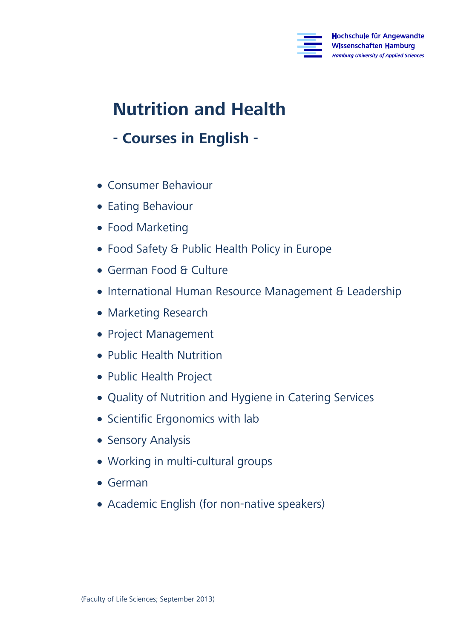

# **Nutrition and Health Nutrition and Health**

# **- Courses in English -**

- Consumer Behaviour
- Eating Behaviour
- Food Marketing
- Food Safety & Public Health Policy in Europe
- German Food & Culture
- International Human Resource Management & Leadership
- Marketing Research
- Project Management
- Public Health Nutrition
- Public Health Project
- Quality of Nutrition and Hygiene in Catering Services
- Scientific Ergonomics with lab
- Sensory Analysis
- Working in multi-cultural groups
- German
- Academic English (for non-native speakers)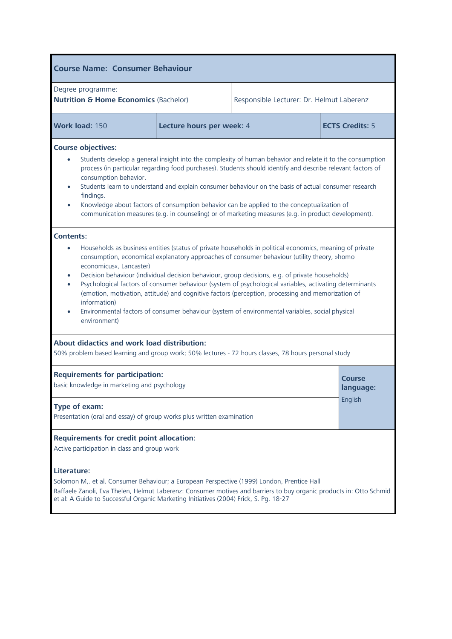| <b>Course Name: Consumer Behaviour</b>                                                                                                                                                                                                                                                                                                                                                                                                                                                                                                                                                                                                                                                                                                                                                                                 |                           |                                           |                        |  |
|------------------------------------------------------------------------------------------------------------------------------------------------------------------------------------------------------------------------------------------------------------------------------------------------------------------------------------------------------------------------------------------------------------------------------------------------------------------------------------------------------------------------------------------------------------------------------------------------------------------------------------------------------------------------------------------------------------------------------------------------------------------------------------------------------------------------|---------------------------|-------------------------------------------|------------------------|--|
| Degree programme:<br><b>Nutrition &amp; Home Economics (Bachelor)</b>                                                                                                                                                                                                                                                                                                                                                                                                                                                                                                                                                                                                                                                                                                                                                  |                           | Responsible Lecturer: Dr. Helmut Laberenz |                        |  |
| Work load: 150                                                                                                                                                                                                                                                                                                                                                                                                                                                                                                                                                                                                                                                                                                                                                                                                         | Lecture hours per week: 4 |                                           | <b>ECTS Credits: 5</b> |  |
| <b>Course objectives:</b><br>Students develop a general insight into the complexity of human behavior and relate it to the consumption<br>process (in particular regarding food purchases). Students should identify and describe relevant factors of<br>consumption behavior.<br>Students learn to understand and explain consumer behaviour on the basis of actual consumer research<br>findings.<br>Knowledge about factors of consumption behavior can be applied to the conceptualization of<br>$\bullet$<br>communication measures (e.g. in counseling) or of marketing measures (e.g. in product development).                                                                                                                                                                                                  |                           |                                           |                        |  |
| <b>Contents:</b><br>Households as business entities (status of private households in political economics, meaning of private<br>$\bullet$<br>consumption, economical explanatory approaches of consumer behaviour (utility theory, »homo<br>economicus«, Lancaster)<br>Decision behaviour (individual decision behaviour, group decisions, e.g. of private households)<br>$\bullet$<br>Psychological factors of consumer behaviour (system of psychological variables, activating determinants<br>$\bullet$<br>(emotion, motivation, attitude) and cognitive factors (perception, processing and memorization of<br>information)<br>Environmental factors of consumer behaviour (system of environmental variables, social physical<br>$\bullet$<br>environment)<br><b>About didactics and work load distribution:</b> |                           |                                           |                        |  |
| 50% problem based learning and group work; 50% lectures - 72 hours classes, 78 hours personal study<br><b>Requirements for participation:</b><br>Course<br>basic knowledge in marketing and psychology<br>language:                                                                                                                                                                                                                                                                                                                                                                                                                                                                                                                                                                                                    |                           |                                           |                        |  |
| English<br>Type of exam:<br>Presentation (oral and essay) of group works plus written examination                                                                                                                                                                                                                                                                                                                                                                                                                                                                                                                                                                                                                                                                                                                      |                           |                                           |                        |  |
| <b>Requirements for credit point allocation:</b><br>Active participation in class and group work                                                                                                                                                                                                                                                                                                                                                                                                                                                                                                                                                                                                                                                                                                                       |                           |                                           |                        |  |
| Literature:<br>Solomon M,. et al. Consumer Behaviour; a European Perspective (1999) London, Prentice Hall<br>Raffaele Zanoli, Eva Thelen, Helmut Laberenz: Consumer motives and barriers to buy organic products in: Otto Schmid<br>et al: A Guide to Successful Organic Marketing Initiatives (2004) Frick, S. Pg. 18-27                                                                                                                                                                                                                                                                                                                                                                                                                                                                                              |                           |                                           |                        |  |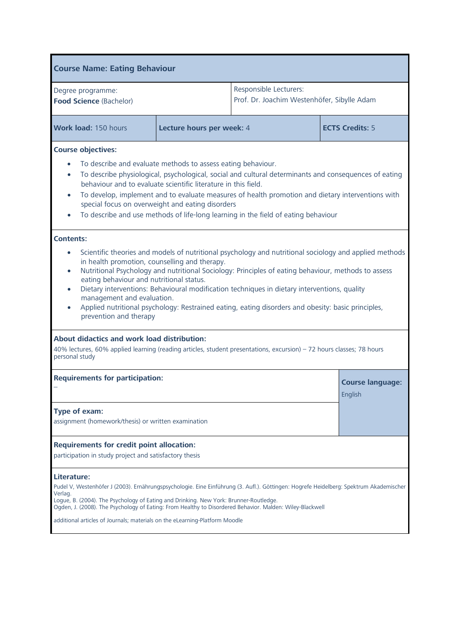| <b>Course Name: Eating Behaviour</b>                                                                                                                                                                                                                                                                                                                                                                                                                                                                                                                                                                                   |                           |                                                                       |                                    |
|------------------------------------------------------------------------------------------------------------------------------------------------------------------------------------------------------------------------------------------------------------------------------------------------------------------------------------------------------------------------------------------------------------------------------------------------------------------------------------------------------------------------------------------------------------------------------------------------------------------------|---------------------------|-----------------------------------------------------------------------|------------------------------------|
| Degree programme:<br>Food Science (Bachelor)                                                                                                                                                                                                                                                                                                                                                                                                                                                                                                                                                                           |                           | Responsible Lecturers:<br>Prof. Dr. Joachim Westenhöfer, Sibylle Adam |                                    |
| Work load: 150 hours                                                                                                                                                                                                                                                                                                                                                                                                                                                                                                                                                                                                   | Lecture hours per week: 4 |                                                                       | <b>ECTS Credits: 5</b>             |
| <b>Course objectives:</b><br>To describe and evaluate methods to assess eating behaviour.<br>To describe physiological, psychological, social and cultural determinants and consequences of eating<br>behaviour and to evaluate scientific literature in this field.<br>To develop, implement and to evaluate measures of health promotion and dietary interventions with<br>$\bullet$<br>special focus on overweight and eating disorders<br>To describe and use methods of life-long learning in the field of eating behaviour                                                                                       |                           |                                                                       |                                    |
| <b>Contents:</b><br>Scientific theories and models of nutritional psychology and nutritional sociology and applied methods<br>in health promotion, counselling and therapy.<br>Nutritional Psychology and nutritional Sociology: Principles of eating behaviour, methods to assess<br>$\bullet$<br>eating behaviour and nutritional status.<br>Dietary interventions: Behavioural modification techniques in dietary interventions, quality<br>$\bullet$<br>management and evaluation.<br>Applied nutritional psychology: Restrained eating, eating disorders and obesity: basic principles,<br>prevention and therapy |                           |                                                                       |                                    |
| About didactics and work load distribution:<br>40% lectures, 60% applied learning (reading articles, student presentations, excursion) - 72 hours classes; 78 hours<br>personal study                                                                                                                                                                                                                                                                                                                                                                                                                                  |                           |                                                                       |                                    |
| <b>Requirements for participation:</b>                                                                                                                                                                                                                                                                                                                                                                                                                                                                                                                                                                                 |                           |                                                                       | <b>Course language:</b><br>English |
| Type of exam:<br>assignment (homework/thesis) or written examination                                                                                                                                                                                                                                                                                                                                                                                                                                                                                                                                                   |                           |                                                                       |                                    |
| <b>Requirements for credit point allocation:</b><br>participation in study project and satisfactory thesis                                                                                                                                                                                                                                                                                                                                                                                                                                                                                                             |                           |                                                                       |                                    |
| Literature:<br>Pudel V, Westenhöfer J (2003). Ernährungspsychologie. Eine Einführung (3. Aufl.). Göttingen: Hogrefe Heidelberg: Spektrum Akademischer<br>Verlag.<br>Loque, B. (2004). The Psychology of Eating and Drinking. New York: Brunner-Routledge.<br>Ogden, J. (2008). The Psychology of Eating: From Healthy to Disordered Behavior. Malden: Wiley-Blackwell<br>additional articles of Journals; materials on the eLearning-Platform Moodle                                                                                                                                                                   |                           |                                                                       |                                    |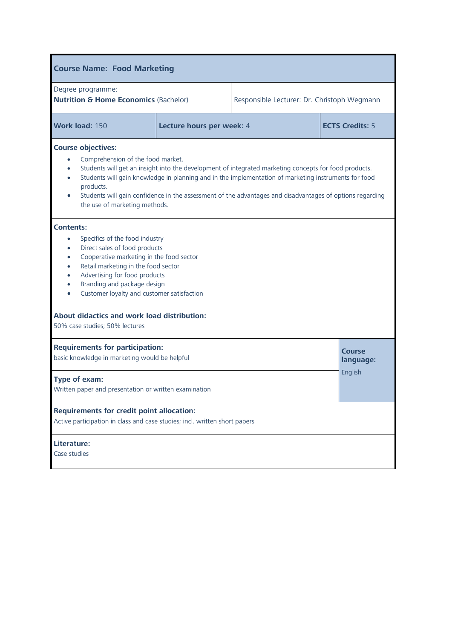| <b>Course Name: Food Marketing</b>                                                                                                                                                                                                                                                                                                                                                                                                                                               |                           |  |                            |  |
|----------------------------------------------------------------------------------------------------------------------------------------------------------------------------------------------------------------------------------------------------------------------------------------------------------------------------------------------------------------------------------------------------------------------------------------------------------------------------------|---------------------------|--|----------------------------|--|
| Degree programme:<br><b>Nutrition &amp; Home Economics (Bachelor)</b><br>Responsible Lecturer: Dr. Christoph Wegmann                                                                                                                                                                                                                                                                                                                                                             |                           |  |                            |  |
| Work load: 150                                                                                                                                                                                                                                                                                                                                                                                                                                                                   | Lecture hours per week: 4 |  | <b>ECTS Credits: 5</b>     |  |
| <b>Course objectives:</b><br>Comprehension of the food market.<br>Students will get an insight into the development of integrated marketing concepts for food products.<br>$\bullet$<br>Students will gain knowledge in planning and in the implementation of marketing instruments for food<br>$\bullet$<br>products.<br>Students will gain confidence in the assessment of the advantages and disadvantages of options regarding<br>$\bullet$<br>the use of marketing methods. |                           |  |                            |  |
| <b>Contents:</b><br>Specifics of the food industry<br>$\bullet$<br>Direct sales of food products<br>$\bullet$<br>Cooperative marketing in the food sector<br>$\bullet$<br>Retail marketing in the food sector<br>$\bullet$<br>Advertising for food products<br>$\bullet$<br>Branding and package design<br>$\bullet$<br>Customer loyalty and customer satisfaction<br>$\bullet$                                                                                                  |                           |  |                            |  |
| About didactics and work load distribution:<br>50% case studies; 50% lectures                                                                                                                                                                                                                                                                                                                                                                                                    |                           |  |                            |  |
| <b>Requirements for participation:</b><br>basic knowledge in marketing would be helpful                                                                                                                                                                                                                                                                                                                                                                                          |                           |  | <b>Course</b><br>language: |  |
| English<br>Type of exam:<br>Written paper and presentation or written examination                                                                                                                                                                                                                                                                                                                                                                                                |                           |  |                            |  |
| <b>Requirements for credit point allocation:</b><br>Active participation in class and case studies; incl. written short papers                                                                                                                                                                                                                                                                                                                                                   |                           |  |                            |  |
| Literature:<br>Case studies                                                                                                                                                                                                                                                                                                                                                                                                                                                      |                           |  |                            |  |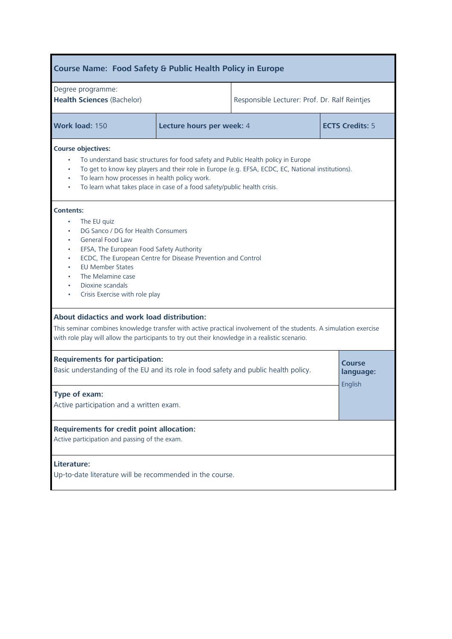| <b>Course Name: Food Safety &amp; Public Health Policy in Europe</b>                                                                                                                                                                                                                                                                                          |  |                                                     |  |  |
|---------------------------------------------------------------------------------------------------------------------------------------------------------------------------------------------------------------------------------------------------------------------------------------------------------------------------------------------------------------|--|-----------------------------------------------------|--|--|
| Degree programme:<br><b>Health Sciences (Bachelor)</b>                                                                                                                                                                                                                                                                                                        |  | Responsible Lecturer: Prof. Dr. Ralf Reintjes       |  |  |
| Work load: 150                                                                                                                                                                                                                                                                                                                                                |  | <b>ECTS Credits: 5</b><br>Lecture hours per week: 4 |  |  |
| <b>Course objectives:</b><br>To understand basic structures for food safety and Public Health policy in Europe<br>To get to know key players and their role in Europe (e.g. EFSA, ECDC, EC, National institutions).<br>To learn how processes in health policy work.<br>$\bullet$<br>To learn what takes place in case of a food safety/public health crisis. |  |                                                     |  |  |
| <b>Contents:</b><br>The EU quiz<br>$\bullet$<br>DG Sanco / DG for Health Consumers<br><b>General Food Law</b><br>EFSA, The European Food Safety Authority<br>ECDC, The European Centre for Disease Prevention and Control<br><b>EU Member States</b><br>The Melamine case<br>Dioxine scandals<br>Crisis Exercise with role play                               |  |                                                     |  |  |
| About didactics and work load distribution:<br>This seminar combines knowledge transfer with active practical involvement of the students. A simulation exercise<br>with role play will allow the participants to try out their knowledge in a realistic scenario.                                                                                            |  |                                                     |  |  |
| <b>Requirements for participation:</b><br><b>Course</b><br>Basic understanding of the EU and its role in food safety and public health policy.<br>language:                                                                                                                                                                                                   |  |                                                     |  |  |
| English<br>Type of exam:<br>Active participation and a written exam.                                                                                                                                                                                                                                                                                          |  |                                                     |  |  |
| <b>Requirements for credit point allocation:</b><br>Active participation and passing of the exam.                                                                                                                                                                                                                                                             |  |                                                     |  |  |
| Literature:<br>Up-to-date literature will be recommended in the course.                                                                                                                                                                                                                                                                                       |  |                                                     |  |  |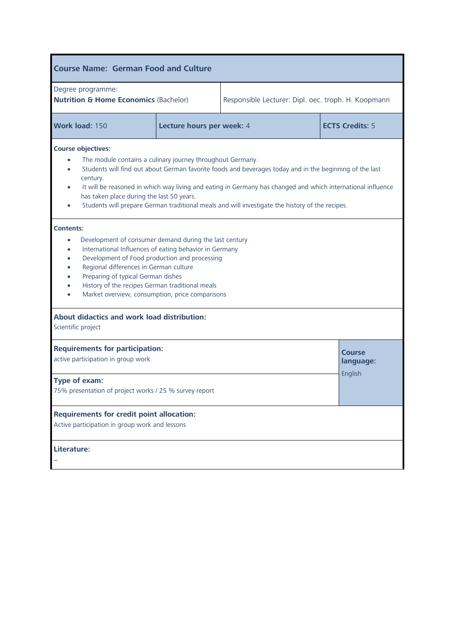| <b>Course Name: German Food and Culture</b>                                                                                                                                                                                                                                                                                                                                                                                                                                                                          |                           |           |                        |  |
|----------------------------------------------------------------------------------------------------------------------------------------------------------------------------------------------------------------------------------------------------------------------------------------------------------------------------------------------------------------------------------------------------------------------------------------------------------------------------------------------------------------------|---------------------------|-----------|------------------------|--|
| Degree programme:<br><b>Nutrition &amp; Home Economics (Bachelor)</b><br>Responsible Lecturer: Dipl. oec. troph. H. Koopmann                                                                                                                                                                                                                                                                                                                                                                                         |                           |           |                        |  |
| Work load: 150                                                                                                                                                                                                                                                                                                                                                                                                                                                                                                       | Lecture hours per week: 4 |           | <b>ECTS Credits: 5</b> |  |
| <b>Course objectives:</b><br>The module contains a culinary journey throughout Germany.<br>Students will find out about German favorite foods and beverages today and in the beginning of the last<br>$\bullet$<br>century.<br>It will be reasoned in which way living and eating in Germany has changed and which international influence<br>$\bullet$<br>has taken place during the last 50 years.<br>Students will prepare German traditional meals and will investigate the history of the recipes.<br>$\bullet$ |                           |           |                        |  |
| <b>Contents:</b><br>Development of consumer demand during the last century<br>$\bullet$<br>International Influences of eating behavior in Germany<br>$\bullet$<br>Development of Food production and processing<br>$\bullet$<br>Regional differences in German culture<br>$\bullet$<br>Preparing of typical German dishes<br>$\bullet$<br>History of the recipes German traditional meals<br>Market overview, consumption, price comparisons                                                                         |                           |           |                        |  |
| About didactics and work load distribution:<br>Scientific project                                                                                                                                                                                                                                                                                                                                                                                                                                                    |                           |           |                        |  |
| <b>Requirements for participation:</b><br><b>Course</b><br>active participation in group work                                                                                                                                                                                                                                                                                                                                                                                                                        |                           | language: |                        |  |
| English<br>Type of exam:<br>75% presentation of project works / 25 % survey report                                                                                                                                                                                                                                                                                                                                                                                                                                   |                           |           |                        |  |
| <b>Requirements for credit point allocation:</b><br>Active participation in group work and lessons                                                                                                                                                                                                                                                                                                                                                                                                                   |                           |           |                        |  |
| Literature:                                                                                                                                                                                                                                                                                                                                                                                                                                                                                                          |                           |           |                        |  |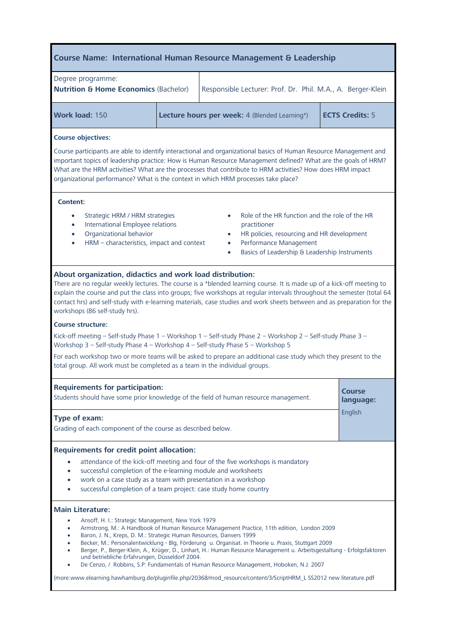# **Course Name: International Human Resource Management & Leadership**

| Degree programme:<br><b>Nutrition &amp; Home Economics (Bachelor)</b> |  | Responsible Lecturer: Prof. Dr. Phil. M.A., A. Berger-Klein |                        |
|-----------------------------------------------------------------------|--|-------------------------------------------------------------|------------------------|
| Work load: 150                                                        |  | Lecture hours per week: 4 (Blended Learning*)               | <b>ECTS Credits: 5</b> |

## **Course objectives:**

Course participants are able to identify interactional and organizational basics of Human Resource Management and<br>important topics of leadership practice: How is Human Resource Management defined? What are the goals of HRM What are the HRM activities? What are the processes that contribute to HRM activities? How does HRM impact  $\alpha$  are the HRM activities? What is the context in which HRM are contribute to HRM  $\alpha$ ? organizational performance? What is the context in which HRM processes take place?

- Strategic HRM / HRM strategies
- International Employee relations
- Organizational behavior
- HRM characteristics, impact and context
- Role of the HR function and the role of the HR practitioner
- HR policies, resourcing and HR development
- Performance Management
- Basics of Leadership & Leadership Instruments

About organization, [didactics](http://dict.leo.org/se?lp=ende&p=/Mn4k.&search=didactics) and work load distribution:<br>There are no regular weekly lectures. The course is a \*blended learning course. It is made up of a kick-off meeting to explain the course and put the class into groups; five workshops at regular intervals throughout the semester (total 64  $\epsilon$  contact bre) and put the class into groups; five workshops at regular intervals throughout the semester (total 644)  $\epsilon$ contact here are self-study with e-learning materials, case studies and work sheets between and as preparation for workshops (86 self-study hrs).

**Course structure:** Workshop 3 – Self-study Phase 4 – Workshop 4 – Self-study Phase 5 – Workshop 5

For each workshop two or more teams will be asked to prepare an additional case study which they present to the  $F$  for each work which workshop teams will be asked to prepare and additional case study which they present to the  $F$ total group. All work must be completed as a team in the individual groups.

| <b>Requirements for participation:</b><br>Students should have some prior knowledge of the field of human resource management.                                                                                                            | <b>Course</b><br>language:<br>English |  |
|-------------------------------------------------------------------------------------------------------------------------------------------------------------------------------------------------------------------------------------------|---------------------------------------|--|
| Type of exam:<br>Grading of each component of the course as described below.                                                                                                                                                              |                                       |  |
| <b>Requirements for credit point allocation:</b>                                                                                                                                                                                          |                                       |  |
| attendance of the kick-off meeting and four of the five workshops is mandatory<br>$\bullet$<br>successful completion of the e-learning module and worksheets<br>$\bullet$<br>under an accorduluse a team with presentation in a werkphan. |                                       |  |

- work on a case study as a team with presentation in a workshop
- successful completion of a team project: case study home country

### **Main Literature:**

- **Main Literature: Ansoff, H. I.: Strategic Management, New York 1979**<br>American Michael Antipology of Human Resource Management
	- Armstrong, M.: A Handbook of Human Resource Management Practice, 11th edition, London 2009
	- Baron, J. N., Kreps, D. M.: Strategic Human Resources, Danvers 1999
	- Becker, M.: Personalentwicklung Blg, Förderung u. Organisat. in Theorie u. Praxis, Stuttgart 2009
	- Berger, P., Berger-Klein, A., Krüger, D., Linhart, H.: Human Resource Management u. Arbeitsgestaltung Erfolgsfaktoren
	- **DE CENZO, / Robbins, S.P: Fundamentals of Human Resource Management, Hoboken, N.J. 2007**

(more:www.elearning.hawhamburg.de/pluginfile.php/20368/mod\_resource/content/3/ScriptHRM\_L SS2012 new literature.pdf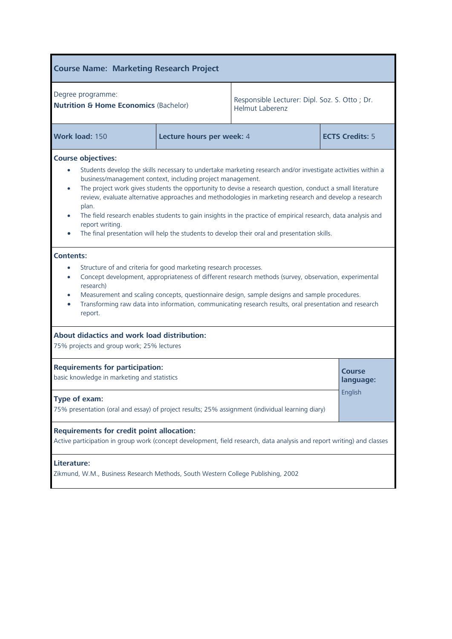| <b>Course Name: Marketing Research Project</b>                                                                                                                                                                                                                                                                                                                                                                                                                                                                                                                                                                                                                                           |                                                                                                             |                                                                         |                        |  |
|------------------------------------------------------------------------------------------------------------------------------------------------------------------------------------------------------------------------------------------------------------------------------------------------------------------------------------------------------------------------------------------------------------------------------------------------------------------------------------------------------------------------------------------------------------------------------------------------------------------------------------------------------------------------------------------|-------------------------------------------------------------------------------------------------------------|-------------------------------------------------------------------------|------------------------|--|
| Degree programme:<br><b>Nutrition &amp; Home Economics (Bachelor)</b>                                                                                                                                                                                                                                                                                                                                                                                                                                                                                                                                                                                                                    |                                                                                                             | Responsible Lecturer: Dipl. Soz. S. Otto; Dr.<br><b>Helmut Laberenz</b> |                        |  |
| Work load: 150                                                                                                                                                                                                                                                                                                                                                                                                                                                                                                                                                                                                                                                                           | Lecture hours per week: 4                                                                                   |                                                                         | <b>ECTS Credits: 5</b> |  |
| <b>Course objectives:</b><br>Students develop the skills necessary to undertake marketing research and/or investigate activities within a<br>business/management context, including project management.<br>The project work gives students the opportunity to devise a research question, conduct a small literature<br>$\bullet$<br>review, evaluate alternative approaches and methodologies in marketing research and develop a research<br>plan.<br>The field research enables students to gain insights in the practice of empirical research, data analysis and<br>report writing.<br>The final presentation will help the students to develop their oral and presentation skills. |                                                                                                             |                                                                         |                        |  |
| <b>Contents:</b><br>Structure of and criteria for good marketing research processes.<br>$\bullet$<br>Concept development, appropriateness of different research methods (survey, observation, experimental<br>$\bullet$<br>research)<br>Measurement and scaling concepts, questionnaire design, sample designs and sample procedures.<br>$\bullet$<br>Transforming raw data into information, communicating research results, oral presentation and research<br>$\bullet$<br>report.                                                                                                                                                                                                     |                                                                                                             |                                                                         |                        |  |
| About didactics and work load distribution:<br>75% projects and group work; 25% lectures                                                                                                                                                                                                                                                                                                                                                                                                                                                                                                                                                                                                 |                                                                                                             |                                                                         |                        |  |
| <b>Requirements for participation:</b><br>Course<br>basic knowledge in marketing and statistics                                                                                                                                                                                                                                                                                                                                                                                                                                                                                                                                                                                          |                                                                                                             |                                                                         | language:              |  |
| Type of exam:                                                                                                                                                                                                                                                                                                                                                                                                                                                                                                                                                                                                                                                                            | English<br>75% presentation (oral and essay) of project results; 25% assignment (individual learning diary) |                                                                         |                        |  |
| <b>Requirements for credit point allocation:</b><br>Active participation in group work (concept development, field research, data analysis and report writing) and classes                                                                                                                                                                                                                                                                                                                                                                                                                                                                                                               |                                                                                                             |                                                                         |                        |  |
| Literature:<br>Zikmund, W.M., Business Research Methods, South Western College Publishing, 2002                                                                                                                                                                                                                                                                                                                                                                                                                                                                                                                                                                                          |                                                                                                             |                                                                         |                        |  |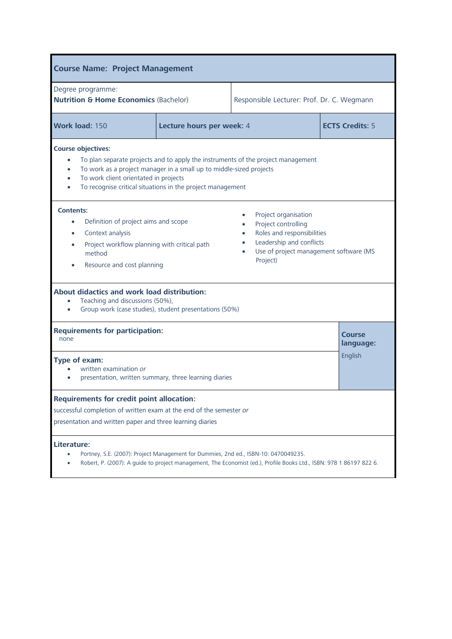| <b>Course Name: Project Management</b>                                                                                                                                                                                                                                                                                                                        |                           |  |                            |  |
|---------------------------------------------------------------------------------------------------------------------------------------------------------------------------------------------------------------------------------------------------------------------------------------------------------------------------------------------------------------|---------------------------|--|----------------------------|--|
| Degree programme:<br><b>Nutrition &amp; Home Economics (Bachelor)</b><br>Responsible Lecturer: Prof. Dr. C. Wegmann                                                                                                                                                                                                                                           |                           |  |                            |  |
| Work load: 150                                                                                                                                                                                                                                                                                                                                                | Lecture hours per week: 4 |  | <b>ECTS Credits: 5</b>     |  |
| <b>Course objectives:</b><br>To plan separate projects and to apply the instruments of the project management<br>$\bullet$<br>To work as a project manager in a small up to middle-sized projects<br>$\bullet$<br>To work client orientated in projects<br>$\bullet$<br>To recognise critical situations in the project management                            |                           |  |                            |  |
| <b>Contents:</b><br>Project organisation<br>Definition of project aims and scope<br>Project controlling<br>Roles and responsibilities<br>Context analysis<br>$\bullet$<br>Leadership and conflicts<br>Project workflow planning with critical path<br>$\bullet$<br>Use of project management software (MS<br>method<br>Project)<br>Resource and cost planning |                           |  |                            |  |
| About didactics and work load distribution:<br>Teaching and discussions (50%),<br>Group work (case studies), student presentations (50%)                                                                                                                                                                                                                      |                           |  |                            |  |
| <b>Requirements for participation:</b><br>none                                                                                                                                                                                                                                                                                                                |                           |  | <b>Course</b><br>language: |  |
| Type of exam:<br>written examination or<br>presentation, written summary, three learning diaries                                                                                                                                                                                                                                                              |                           |  | English                    |  |
| <b>Requirements for credit point allocation:</b><br>successful completion of written exam at the end of the semester or<br>presentation and written paper and three learning diaries                                                                                                                                                                          |                           |  |                            |  |
| Literature:<br>Portney, S.E. (2007): Project Management for Dummies, 2nd ed., ISBN-10: 0470049235.<br>Robert, P. (2007): A guide to project management, The Economist (ed.), Profile Books Ltd., ISBN: 978 1 86197 822 6.                                                                                                                                     |                           |  |                            |  |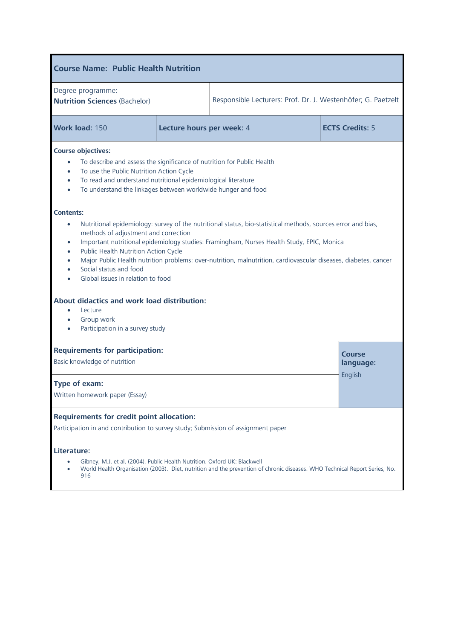| <b>Course Name: Public Health Nutrition</b>                                                                                                                                                                                                                                                                                                                                                                                                                                                                                            |                           |                                                              |  |                            |
|----------------------------------------------------------------------------------------------------------------------------------------------------------------------------------------------------------------------------------------------------------------------------------------------------------------------------------------------------------------------------------------------------------------------------------------------------------------------------------------------------------------------------------------|---------------------------|--------------------------------------------------------------|--|----------------------------|
| Degree programme:<br><b>Nutrition Sciences (Bachelor)</b>                                                                                                                                                                                                                                                                                                                                                                                                                                                                              |                           | Responsible Lecturers: Prof. Dr. J. Westenhöfer; G. Paetzelt |  |                            |
| Work load: 150                                                                                                                                                                                                                                                                                                                                                                                                                                                                                                                         | Lecture hours per week: 4 |                                                              |  | <b>ECTS Credits: 5</b>     |
| <b>Course objectives:</b><br>To describe and assess the significance of nutrition for Public Health<br>$\bullet$<br>To use the Public Nutrition Action Cycle<br>$\bullet$<br>To read and understand nutritional epidemiological literature<br>$\bullet$<br>To understand the linkages between worldwide hunger and food<br>$\bullet$                                                                                                                                                                                                   |                           |                                                              |  |                            |
| <b>Contents:</b><br>Nutritional epidemiology: survey of the nutritional status, bio-statistical methods, sources error and bias,<br>$\bullet$<br>methods of adjustment and correction<br>Important nutritional epidemiology studies: Framingham, Nurses Health Study, EPIC, Monica<br>$\bullet$<br>Public Health Nutrition Action Cycle<br>$\bullet$<br>Major Public Health nutrition problems: over-nutrition, malnutrition, cardiovascular diseases, diabetes, cancer<br>Social status and food<br>Global issues in relation to food |                           |                                                              |  |                            |
| About didactics and work load distribution:<br>Lecture<br>Group work<br>Participation in a survey study                                                                                                                                                                                                                                                                                                                                                                                                                                |                           |                                                              |  |                            |
| <b>Requirements for participation:</b><br>Basic knowledge of nutrition                                                                                                                                                                                                                                                                                                                                                                                                                                                                 |                           |                                                              |  | <b>Course</b><br>language: |
| English<br>Type of exam:<br>Written homework paper (Essay)                                                                                                                                                                                                                                                                                                                                                                                                                                                                             |                           |                                                              |  |                            |
| <b>Requirements for credit point allocation:</b><br>Participation in and contribution to survey study; Submission of assignment paper                                                                                                                                                                                                                                                                                                                                                                                                  |                           |                                                              |  |                            |
| Literature:<br>Gibney, M.J. et al. (2004). Public Health Nutrition. Oxford UK: Blackwell<br>World Health Organisation (2003). Diet, nutrition and the prevention of chronic diseases. WHO Technical Report Series, No.<br>916                                                                                                                                                                                                                                                                                                          |                           |                                                              |  |                            |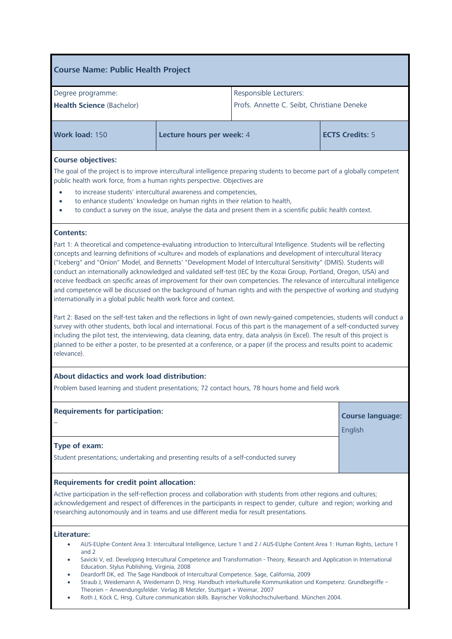## **Course Name: Public Health Project** Degree programme: **Health Science** (Bachelor) Responsible Lecturers: Profs. Annette C. Seibt, Christiane Deneke **Work load: 150 <b>Lecture hours per week:** 4 **ECTS Credits: 5 Course objectives:** The goal of the project is to improve intercultural intelligence preparing students to become part of a globally competent public health work force, from a human rights perspective. Objectives are • to increase students' intercultural awareness and competencies, • to enhance students' knowledge on human rights in their relation to health, • to conduct a survey on the issue, analyse the data and present them in a scientific public health context. **Contents:** Part 1: A theoretical and competence-evaluating introduction to Intercultural Intelligence. Students will be reflecting concepts and learning definitions of »culture« and models of explanations and development of intercultural literacy ("Iceberg" and "Onion" Model, and Bennetts' "Development Model of Intercultural Sensitivity" (DMIS). Students will conduct an internationally acknowledged and validated self-test (IEC by the Kozai Group, Portland, Oregon, USA) and receive feedback on specific areas of improvement for their own competencies. The relevance of intercultural intelligence and competence will be discussed on the background of human rights and with the perspective of working and studying internationally in a global public health work force and context. Part 2: Based on the self-test taken and the reflections in light of own newly-gained competencies, students will conduct a survey with other students, both local and international. Focus of this part is the management of a self-conducted survey

including the pilot test, the interviewing, data cleaning, data entry, data analysis (in Excel). The result of this project is planned to be either a poster, to be presented at a conference, or a paper (if the process and results point to academic relevance).

## **About [didactics](http://dict.leo.org/se?lp=ende&p=/Mn4k.&search=didactics) and work load distribution:**

Problem based learning and student presentations; 72 contact hours, 78 hours home and field work

| <b>Requirements for participation:</b>                                               | <b>Course language:</b> |
|--------------------------------------------------------------------------------------|-------------------------|
|                                                                                      | English                 |
| <b>Type of exam:</b>                                                                 |                         |
| Student presentations; undertaking and presenting results of a self-conducted survey |                         |

### **Requirements for credit point allocation:**

Active participation in the self-reflection process and collaboration with students from other regions and cultures; acknowledgement and respect of differences in the participants in respect to gender, culture and region; working and researching autonomously and in teams and use different media for result presentations.

## **Literature:**

- AUS-EUphe Content Area 3: Intercultural Intelligence, Lecture 1 and 2 / AUS-EUphe Content Area 1: Human Rights, Lecture 1 and 2
- Savicki V, ed. Developing Intercultural Competence and Transformation Theory, Research and Application in International Education. Stylus Publishing, Virginia, 2008
- Deardorff DK, ed. The Sage Handbook of Intercultural Competence. Sage, California, 2009
- Straub J, Weidemann A, Weidemann D, Hrsg. Handbuch interkulturelle Kommunikation und Kompetenz. Grundbegriffe Theorien – Anwendungsfelder. Verlag JB Metzler, Stuttgart + Weimar, 2007
- Roth J, Köck C, Hrsg. Culture communication skills. Bayrischer Volkshochschulverband. München 2004.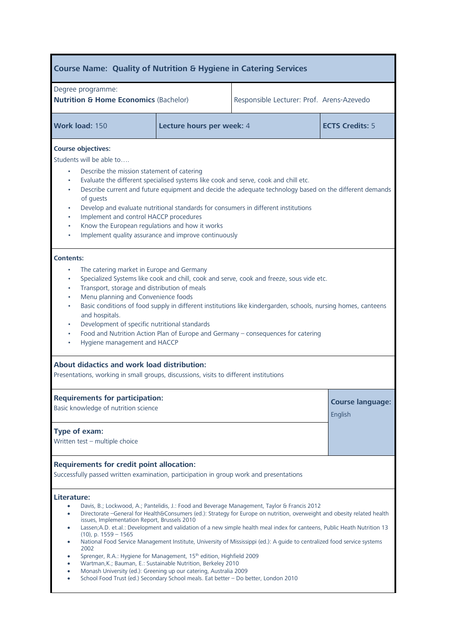| <b>Course Name: Quality of Nutrition &amp; Hygiene in Catering Services</b>                                                                                                                                                                                                                                                                                                                                                                                                                                                                                                                                                                                                                                                                                                                                                                                                                                                                               |                           |                                           |                        |  |
|-----------------------------------------------------------------------------------------------------------------------------------------------------------------------------------------------------------------------------------------------------------------------------------------------------------------------------------------------------------------------------------------------------------------------------------------------------------------------------------------------------------------------------------------------------------------------------------------------------------------------------------------------------------------------------------------------------------------------------------------------------------------------------------------------------------------------------------------------------------------------------------------------------------------------------------------------------------|---------------------------|-------------------------------------------|------------------------|--|
| Degree programme:<br><b>Nutrition &amp; Home Economics (Bachelor)</b>                                                                                                                                                                                                                                                                                                                                                                                                                                                                                                                                                                                                                                                                                                                                                                                                                                                                                     |                           | Responsible Lecturer: Prof. Arens-Azevedo |                        |  |
| Work load: 150                                                                                                                                                                                                                                                                                                                                                                                                                                                                                                                                                                                                                                                                                                                                                                                                                                                                                                                                            | Lecture hours per week: 4 |                                           | <b>ECTS Credits: 5</b> |  |
| <b>Course objectives:</b><br>Students will be able to<br>Describe the mission statement of catering<br>Evaluate the different specialised systems like cook and serve, cook and chill etc.<br>Describe current and future equipment and decide the adequate technology based on the different demands<br>of guests<br>Develop and evaluate nutritional standards for consumers in different institutions<br>$\bullet$<br>Implement and control HACCP procedures<br>$\bullet$<br>Know the European regulations and how it works<br>$\bullet$<br>Implement quality assurance and improve continuously                                                                                                                                                                                                                                                                                                                                                       |                           |                                           |                        |  |
| <b>Contents:</b><br>The catering market in Europe and Germany<br>$\bullet$<br>Specialized Systems like cook and chill, cook and serve, cook and freeze, sous vide etc.<br>٠<br>Transport, storage and distribution of meals<br>٠<br>Menu planning and Convenience foods<br>$\bullet$<br>Basic conditions of food supply in different institutions like kindergarden, schools, nursing homes, canteens<br>and hospitals.<br>Development of specific nutritional standards<br>$\bullet$<br>Food and Nutrition Action Plan of Europe and Germany - consequences for catering<br>$\bullet$<br>Hygiene management and HACCP                                                                                                                                                                                                                                                                                                                                    |                           |                                           |                        |  |
| About didactics and work load distribution:<br>Presentations, working in small groups, discussions, visits to different institutions                                                                                                                                                                                                                                                                                                                                                                                                                                                                                                                                                                                                                                                                                                                                                                                                                      |                           |                                           |                        |  |
| <b>Requirements for participation:</b><br>Basic knowledge of nutrition science<br>Type of exam:                                                                                                                                                                                                                                                                                                                                                                                                                                                                                                                                                                                                                                                                                                                                                                                                                                                           |                           | <b>Course language:</b><br>English        |                        |  |
| Written test - multiple choice<br><b>Requirements for credit point allocation:</b><br>Successfully passed written examination, participation in group work and presentations                                                                                                                                                                                                                                                                                                                                                                                                                                                                                                                                                                                                                                                                                                                                                                              |                           |                                           |                        |  |
| Literature:<br>Davis, B.; Lockwood, A.; Pantelidis, J.: Food and Beverage Management, Taylor & Francis 2012<br>Directorate -General for Health&Consumers (ed.): Strategy for Europe on nutrition, overweight and obesity related health<br>$\bullet$<br>issues, Implementation Report, Brussels 2010<br>Lassen;A.D. et.al.: Development and validation of a new simple health meal index for canteens, Public Heath Nutrition 13<br>$\bullet$<br>$(10)$ , p. $1559 - 1565$<br>National Food Service Management Institute, University of Mississippi (ed.): A guide to centralized food service systems<br>$\bullet$<br>2002<br>Sprenger, R.A.: Hygiene for Management, 15 <sup>th</sup> edition, Highfield 2009<br>Wartman, K.; Bauman, E.: Sustainable Nutrition, Berkeley 2010<br>Monash University (ed.): Greening up our catering, Australia 2009<br>$\bullet$<br>School Food Trust (ed.) Secondary School meals. Eat better - Do better, London 2010 |                           |                                           |                        |  |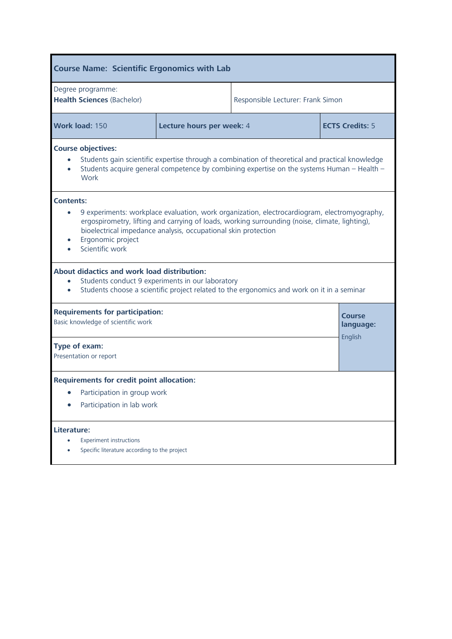| <b>Course Name: Scientific Ergonomics with Lab</b>                                                                                                                                                                                                                                                                           |                           |                                   |                     |  |  |
|------------------------------------------------------------------------------------------------------------------------------------------------------------------------------------------------------------------------------------------------------------------------------------------------------------------------------|---------------------------|-----------------------------------|---------------------|--|--|
| Degree programme:<br><b>Health Sciences (Bachelor)</b>                                                                                                                                                                                                                                                                       |                           | Responsible Lecturer: Frank Simon |                     |  |  |
| Work load: 150                                                                                                                                                                                                                                                                                                               | Lecture hours per week: 4 | <b>ECTS Credits: 5</b>            |                     |  |  |
| <b>Course objectives:</b><br>Students gain scientific expertise through a combination of theoretical and practical knowledge<br>Students acquire general competence by combining expertise on the systems Human - Health -<br>Work                                                                                           |                           |                                   |                     |  |  |
| <b>Contents:</b><br>9 experiments: workplace evaluation, work organization, electrocardiogram, electromyography,<br>ergospirometry, lifting and carrying of loads, working surrounding (noise, climate, lighting),<br>bioelectrical impedance analysis, occupational skin protection<br>Ergonomic project<br>Scientific work |                           |                                   |                     |  |  |
| About didactics and work load distribution:<br>Students conduct 9 experiments in our laboratory<br>$\bullet$<br>Students choose a scientific project related to the ergonomics and work on it in a seminar<br>$\bullet$                                                                                                      |                           |                                   |                     |  |  |
| <b>Requirements for participation:</b><br>Basic knowledge of scientific work                                                                                                                                                                                                                                                 |                           |                                   | Course<br>language: |  |  |
| English<br>Type of exam:<br>Presentation or report                                                                                                                                                                                                                                                                           |                           |                                   |                     |  |  |
| <b>Requirements for credit point allocation:</b>                                                                                                                                                                                                                                                                             |                           |                                   |                     |  |  |
| Participation in group work<br>Participation in lab work                                                                                                                                                                                                                                                                     |                           |                                   |                     |  |  |
| Literature:<br><b>Experiment instructions</b><br>Specific literature according to the project                                                                                                                                                                                                                                |                           |                                   |                     |  |  |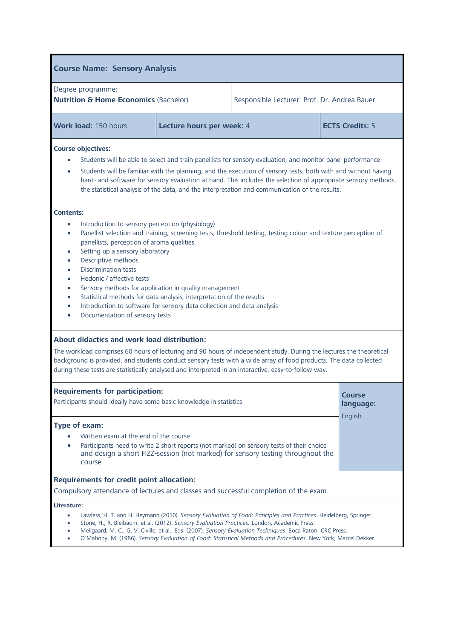| <b>Course Name: Sensory Analysis</b>                                                                                                                                                                                                                                                                                                                                                                                                                                                                                                                                                                                                                                                                                       |                           |                                                                                                                                                                             |         |  |
|----------------------------------------------------------------------------------------------------------------------------------------------------------------------------------------------------------------------------------------------------------------------------------------------------------------------------------------------------------------------------------------------------------------------------------------------------------------------------------------------------------------------------------------------------------------------------------------------------------------------------------------------------------------------------------------------------------------------------|---------------------------|-----------------------------------------------------------------------------------------------------------------------------------------------------------------------------|---------|--|
| Degree programme:<br><b>Nutrition &amp; Home Economics (Bachelor)</b><br>Responsible Lecturer: Prof. Dr. Andrea Bauer                                                                                                                                                                                                                                                                                                                                                                                                                                                                                                                                                                                                      |                           |                                                                                                                                                                             |         |  |
| Work load: 150 hours                                                                                                                                                                                                                                                                                                                                                                                                                                                                                                                                                                                                                                                                                                       | Lecture hours per week: 4 | <b>ECTS Credits: 5</b>                                                                                                                                                      |         |  |
| <b>Course objectives:</b><br>Students will be able to select and train panellists for sensory evaluation, and monitor panel performance.<br>Students will be familiar with the planning, and the execution of sensory tests, both with and without having<br>$\bullet$<br>hard- and software for sensory evaluation at hand. This includes the selection of appropriate sensory methods,<br>the statistical analysis of the data, and the interpretation and communication of the results.                                                                                                                                                                                                                                 |                           |                                                                                                                                                                             |         |  |
| <b>Contents:</b><br>Introduction to sensory perception (physiology)<br>Panellist selection and training, screening tests; threshold testing, testing colour and texture perception of<br>$\bullet$<br>panellists, perception of aroma qualities<br>Setting up a sensory laboratory<br>$\bullet$<br>Descriptive methods<br>$\bullet$<br><b>Discrimination tests</b><br>$\bullet$<br>Hedonic / affective tests<br>$\bullet$<br>Sensory methods for application in quality management<br>$\bullet$<br>Statistical methods for data analysis, interpretation of the results<br>$\bullet$<br>Introduction to software for sensory data collection and data analysis<br>$\bullet$<br>Documentation of sensory tests<br>$\bullet$ |                           |                                                                                                                                                                             |         |  |
| About didactics and work load distribution:<br>The workload comprises 60 hours of lecturing and 90 hours of independent study. During the lectures the theoretical<br>background is provided, and students conduct sensory tests with a wide array of food products. The data collected<br>during these tests are statistically analysed and interpreted in an interactive, easy-to-follow way.                                                                                                                                                                                                                                                                                                                            |                           |                                                                                                                                                                             |         |  |
| <b>Requirements for participation:</b><br>Participants should ideally have some basic knowledge in statistics                                                                                                                                                                                                                                                                                                                                                                                                                                                                                                                                                                                                              |                           | <b>Course</b><br>language:                                                                                                                                                  |         |  |
| Type of exam:<br>Written exam at the end of the course<br>$\bullet$<br>course                                                                                                                                                                                                                                                                                                                                                                                                                                                                                                                                                                                                                                              |                           | Participants need to write 2 short reports (not marked) on sensory tests of their choice<br>and design a short FIZZ-session (not marked) for sensory testing throughout the | English |  |
| <b>Requirements for credit point allocation:</b><br>Compulsory attendance of lectures and classes and successful completion of the exam                                                                                                                                                                                                                                                                                                                                                                                                                                                                                                                                                                                    |                           |                                                                                                                                                                             |         |  |
| Literature:<br>Lawless, H. T. and H. Heymann (2010). Sensory Evaluation of Food: Principles and Practices. Heidelberg, Springer.<br>Stone, H., R. Bleibaum, et al. (2012). Sensory Evaluation Practices. London, Academic Press.<br>Meilgaard, M. C., G. V. Civille, et al., Eds. (2007). Sensory Evaluation Techniques. Boca Raton, CRC Press.<br>O'Mahony, M. (1986). Sensory Evaluation of Food: Statistical Methods and Procedures. New York, Marcel Dekker.                                                                                                                                                                                                                                                           |                           |                                                                                                                                                                             |         |  |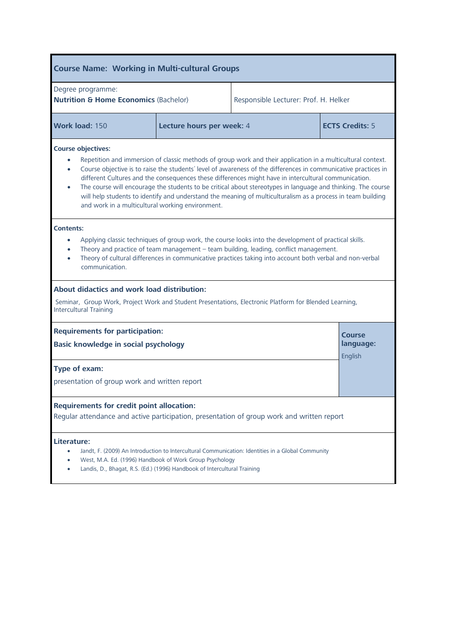| <b>Course Name: Working in Multi-cultural Groups</b>                                                                                                                                   |                           |                                                                                                                                                                                                                                                                                                                                                                                                                                                                                                                                                                      |  |                                |
|----------------------------------------------------------------------------------------------------------------------------------------------------------------------------------------|---------------------------|----------------------------------------------------------------------------------------------------------------------------------------------------------------------------------------------------------------------------------------------------------------------------------------------------------------------------------------------------------------------------------------------------------------------------------------------------------------------------------------------------------------------------------------------------------------------|--|--------------------------------|
| Degree programme:<br><b>Nutrition &amp; Home Economics (Bachelor)</b><br>Responsible Lecturer: Prof. H. Helker                                                                         |                           |                                                                                                                                                                                                                                                                                                                                                                                                                                                                                                                                                                      |  |                                |
| Work load: 150                                                                                                                                                                         | Lecture hours per week: 4 |                                                                                                                                                                                                                                                                                                                                                                                                                                                                                                                                                                      |  | <b>ECTS Credits: 5</b>         |
| <b>Course objectives:</b><br>$\bullet$<br>$\bullet$<br>$\bullet$<br>and work in a multicultural working environment.                                                                   |                           | Repetition and immersion of classic methods of group work and their application in a multicultural context.<br>Course objective is to raise the students' level of awareness of the differences in communicative practices in<br>different Cultures and the consequences these differences might have in intercultural communication.<br>The course will encourage the students to be critical about stereotypes in language and thinking. The course<br>will help students to identify and understand the meaning of multiculturalism as a process in team building |  |                                |
| <b>Contents:</b><br>communication.                                                                                                                                                     |                           | Applying classic techniques of group work, the course looks into the development of practical skills.<br>Theory and practice of team management - team building, leading, conflict management.<br>Theory of cultural differences in communicative practices taking into account both verbal and non-verbal                                                                                                                                                                                                                                                           |  |                                |
| About didactics and work load distribution:<br>Seminar, Group Work, Project Work and Student Presentations, Electronic Platform for Blended Learning,<br><b>Intercultural Training</b> |                           |                                                                                                                                                                                                                                                                                                                                                                                                                                                                                                                                                                      |  |                                |
| <b>Requirements for participation:</b><br>Basic knowledge in social psychology                                                                                                         |                           |                                                                                                                                                                                                                                                                                                                                                                                                                                                                                                                                                                      |  | Course<br>language:<br>English |
| Type of exam:<br>presentation of group work and written report                                                                                                                         |                           |                                                                                                                                                                                                                                                                                                                                                                                                                                                                                                                                                                      |  |                                |
| <b>Requirements for credit point allocation:</b><br>Regular attendance and active participation, presentation of group work and written report                                         |                           |                                                                                                                                                                                                                                                                                                                                                                                                                                                                                                                                                                      |  |                                |
| Literature:<br>$\bullet$<br>West, M.A. Ed. (1996) Handbook of Work Group Psychology<br>Landis, D., Bhagat, R.S. (Ed.) (1996) Handbook of Intercultural Training                        |                           | Jandt, F. (2009) An Introduction to Intercultural Communication: Identities in a Global Community                                                                                                                                                                                                                                                                                                                                                                                                                                                                    |  |                                |

L